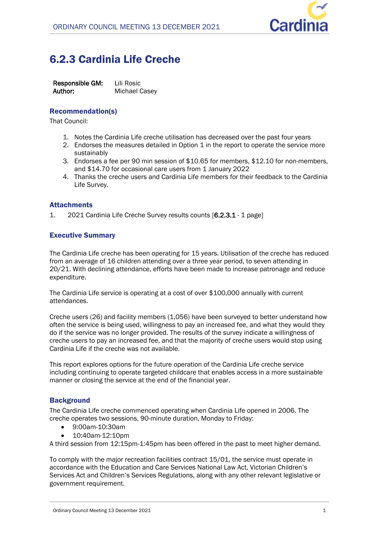

# 6.2.3 Cardinia Life Creche

**Responsible GM:** Lili Rosic **Author:** Michael Casey

# Recommendation(s)

That Council:

- 1. Notes the Cardinia Life creche utilisation has decreased over the past four years
- 2. Endorses the measures detailed in Option 1 in the report to operate the service more sustainably
- 3. Endorses a fee per 90 min session of \$10.65 for members, \$12.10 for non-members, and \$14.70 for occasional care users from 1 January 2022
- 4. Thanks the creche users and Cardinia Life members for their feedback to the Cardinia Life Survey.

# **Attachments**

1. 2021 Cardinia Life Creche Survey results counts [**6.2.3.1** - 1 page]

# Executive Summary

The Cardinia Life creche has been operating for 15 years. Utilisation of the creche has reduced from an average of 16 children attending over a three year period, to seven attending in 20/21. With declining attendance, efforts have been made to increase patronage and reduce expenditure.

The Cardinia Life service is operating at a cost of over \$100,000 annually with current attendances.

Creche users (26) and facility members (1,056) have been surveyed to better understand how often the service is being used, willingness to pay an increased fee, and what they would they do if the service was no longer provided. The results of the survey indicate a willingness of creche users to pay an increased fee, and that the majority of creche users would stop using Cardinia Life if the creche was not available.

This report explores options for the future operation of the Cardinia Life creche service including continuing to operate targeted childcare that enables access in a more sustainable manner or closing the service at the end of the financial year.

# **Background**

The Cardinia Life creche commenced operating when Cardinia Life opened in 2006. The creche operates two sessions, 90-minute duration, Monday to Friday:

- 9:00am-10:30am
- 10:40am-12:10pm

A third session from 12:15pm-1:45pm has been offered in the past to meet higher demand.

To comply with the major recreation facilities contract 15/01, the service must operate in accordance with the Education and Care Services National Law Act, Victorian Children's Services Act and Children's Services Regulations, along with any other relevant legislative or government requirement.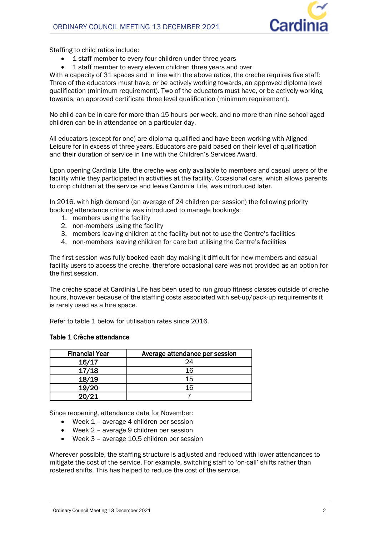

Staffing to child ratios include:

- 1 staff member to every four children under three years
- 1 staff member to every eleven children three years and over

With a capacity of 31 spaces and in line with the above ratios, the creche requires five staff: Three of the educators must have, or be actively working towards, an approved diploma level qualification (minimum requirement). Two of the educators must have, or be actively working towards, an approved certificate three level qualification (minimum requirement).

No child can be in care for more than 15 hours per week, and no more than nine school aged children can be in attendance on a particular day.

All educators (except for one) are diploma qualified and have been working with Aligned Leisure for in excess of three years. Educators are paid based on their level of qualification and their duration of service in line with the Children's Services Award.

Upon opening Cardinia Life, the creche was only available to members and casual users of the facility while they participated in activities at the facility. Occasional care, which allows parents to drop children at the service and leave Cardinia Life, was introduced later.

In 2016, with high demand (an average of 24 children per session) the following priority booking attendance criteria was introduced to manage bookings:

- 1. members using the facility
- 2. non-members using the facility
- 3. members leaving children at the facility but not to use the Centre's facilities
- 4. non-members leaving children for care but utilising the Centre's facilities

The first session was fully booked each day making it difficult for new members and casual facility users to access the creche, therefore occasional care was not provided as an option for the first session.

The creche space at Cardinia Life has been used to run group fitness classes outside of creche hours, however because of the staffing costs associated with set-up/pack-up requirements it is rarely used as a hire space.

Refer to table 1 below for utilisation rates since 2016.

#### **Table 1 Crèche attendance**

| <b>Financial Year</b> | Average attendance per session |
|-----------------------|--------------------------------|
| 16/17                 | 24                             |
| 17/18                 | 16                             |
| 18/19                 | 15                             |
| 19/20                 | 16                             |
| 20/21                 |                                |

Since reopening, attendance data for November:

- Week 1 average 4 children per session
- Week 2 average 9 children per session
- Week 3 average 10.5 children per session

Wherever possible, the staffing structure is adjusted and reduced with lower attendances to mitigate the cost of the service. For example, switching staff to 'on-call' shifts rather than rostered shifts. This has helped to reduce the cost of the service.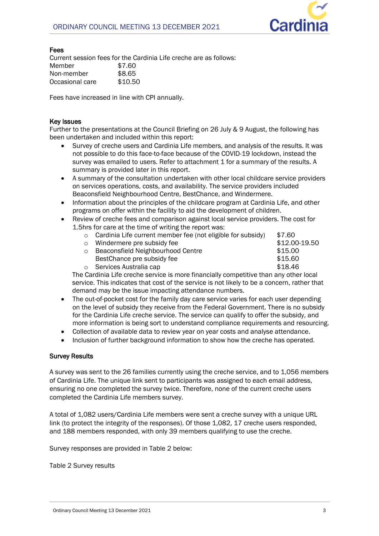

#### **Fees**

Current session fees for the Cardinia Life creche are as follows: Member \$7.60 Non-member \$8.65 Occasional care \$10.50

Fees have increased in line with CPI annually.

# **Key Issues**

Further to the presentations at the Council Briefing on 26 July & 9 August, the following has been undertaken and included within this report:

- Survey of creche users and Cardinia Life members, and analysis of the results. It was not possible to do this face-to-face because of the COVID-19 lockdown, instead the survey was emailed to users. Refer to attachment 1 for a summary of the results. A summary is provided later in this report.
- A summary of the consultation undertaken with other local childcare service providers on services operations, costs, and availability. The service providers included Beaconsfield Neighbourhood Centre, BestChance, and Windermere.
- Information about the principles of the childcare program at Cardinia Life, and other programs on offer within the facility to aid the development of children.
- Review of creche fees and comparison against local service providers. The cost for 1.5hrs for care at the time of writing the report was:

|         | o Cardinia Life current member fee (not eligible for subsidy) | \$7.60        |
|---------|---------------------------------------------------------------|---------------|
|         | $\circ$ Windermere pre subsidy fee                            | \$12.00-19.50 |
| $\circ$ | Beaconsfield Neighbourhood Centre                             | \$15.00       |
|         | BestChance pre subsidy fee                                    | \$15.60       |
|         | $\circ$ Services Australia cap                                | \$18.46       |
|         |                                                               |               |

The Cardinia Life creche service is more financially competitive than any other local service. This indicates that cost of the service is not likely to be a concern, rather that demand may be the issue impacting attendance numbers.

- The out-of-pocket cost for the family day care service varies for each user depending on the level of subsidy they receive from the Federal Government. There is no subsidy for the Cardinia Life creche service. The service can qualify to offer the subsidy, and more information is being sort to understand compliance requirements and resourcing.
- Collection of available data to review year on year costs and analyse attendance.
- Inclusion of further background information to show how the creche has operated.

#### **Survey Results**

A survey was sent to the 26 families currently using the creche service, and to 1,056 members of Cardinia Life. The unique link sent to participants was assigned to each email address, ensuring no one completed the survey twice. Therefore, none of the current creche users completed the Cardinia Life members survey.

A total of 1,082 users/Cardinia Life members were sent a creche survey with a unique URL link (to protect the integrity of the responses). Of those 1,082, 17 creche users responded, and 188 members responded, with only 39 members qualifying to use the creche.

Survey responses are provided in Table 2 below:

Table 2 Survey results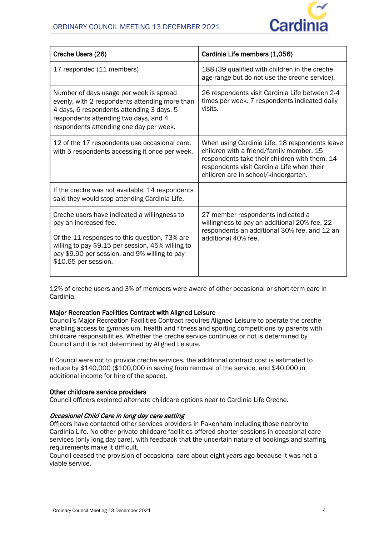

| Creche Users (26)                                                                                                                                                                                                                                    | Cardinia Life members (1,056)                                                                                                                                                                                                     |  |
|------------------------------------------------------------------------------------------------------------------------------------------------------------------------------------------------------------------------------------------------------|-----------------------------------------------------------------------------------------------------------------------------------------------------------------------------------------------------------------------------------|--|
| 17 responded (11 members)                                                                                                                                                                                                                            | 188 (39 qualified with children in the creche<br>age-range but do not use the creche service).                                                                                                                                    |  |
| Number of days usage per week is spread<br>evenly, with 2 respondents attending more than<br>4 days, 6 respondents attending 3 days, 5<br>respondents attending two days, and 4<br>respondents attending one day per week.                           | 26 respondents visit Cardinia Life between 2-4<br>times per week. 7 respondents indicated daily<br>visits.                                                                                                                        |  |
| 12 of the 17 respondents use occasional care,<br>with 5 respondents accessing it once per week.                                                                                                                                                      | When using Cardinia Life, 18 respondents leave<br>children with a friend/family member, 15<br>respondents take their children with them, 14<br>respondents visit Cardinia Life when their<br>children are in school/kindergarten. |  |
| If the creche was not available, 14 respondents<br>said they would stop attending Cardinia Life.                                                                                                                                                     |                                                                                                                                                                                                                                   |  |
| Creche users have indicated a willingness to<br>pay an increased fee.<br>Of the 11 responses to this question, 73% are<br>willing to pay \$9.15 per session, 45% willing to<br>pay \$9.90 per session, and 9% willing to pay<br>\$10.65 per session. | 27 member respondents indicated a<br>willingness to pay an additional 20% fee, 22<br>respondents an additional 30% fee, and 12 an<br>additional 40% fee.                                                                          |  |

12% of creche users and 3% of members were aware of other occasional or short-term care in Cardinia.

# **Major Recreation Facilities Contract with Aligned Leisure**

Council's Major Recreation Facilities Contract requires Aligned Leisure to operate the creche enabling access to gymnasium, health and fitness and sporting competitions by parents with childcare responsibilities. Whether the creche service continues or not is determined by Council and it is not determined by Aligned Leisure.

If Council were not to provide creche services, the additional contract cost is estimated to reduce by \$140,000 (\$100,000 in saving from removal of the service, and \$40,000 in additional income for hire of the space).

#### **Other childcare service providers**

Council officers explored alternate childcare options near to Cardinia Life Creche.

#### *Occasional Child Care in long day care setting*

Officers have contacted other services providers in Pakenham including those nearby to Cardinia Life. No other private childcare facilities offered shorter sessions in occasional care services (only long day care), with feedback that the uncertain nature of bookings and staffing requirements make it difficult.

Council ceased the provision of occasional care about eight years ago because it was not a viable service.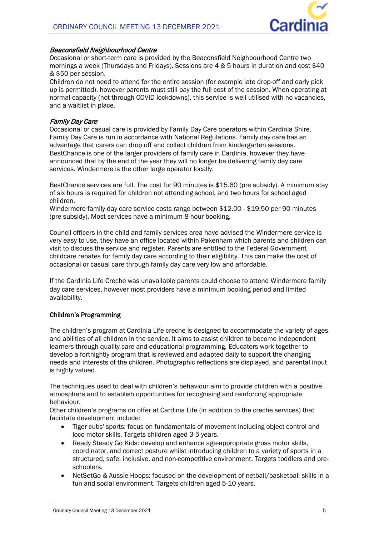

#### *Beaconsfield Neighbourhood Centre*

Occasional or short-term care is provided by the Beaconsfield Neighbourhood Centre two mornings a week (Thursdays and Fridays). Sessions are 4 & 5 hours in duration and cost \$40 & \$50 per session.

Children do not need to attend for the entire session (for example late drop-off and early pick up is permitted), however parents must still pay the full cost of the session. When operating at normal capacity (not through COVID lockdowns), this service is well utilised with no vacancies, and a waitlist in place.

# *Family Day Care*

Occasional or casual care is provided by Family Day Care operators within Cardinia Shire. Family Day Care is run in accordance with National Regulations. Family day care has an advantage that carers can drop off and collect children from kindergarten sessions. BestChance is one of the larger providers of family care in Cardinia, however they have announced that by the end of the year they will no longer be delivering family day care services. Windermere is the other large operator locally.

BestChance services are full. The cost for 90 minutes is \$15.60 (pre subsidy). A minimum stay of six hours is required for children not attending school, and two hours for school aged children.

Windermere family day care service costs range between \$12.00 - \$19.50 per 90 minutes (pre subsidy). Most services have a minimum 8-hour booking.

Council officers in the child and family services area have advised the Windermere service is very easy to use, they have an office located within Pakenham which parents and children can visit to discuss the service and register. Parents are entitled to the Federal Government childcare rebates for family day care according to their eligibility. This can make the cost of occasional or casual care through family day care very low and affordable.

If the Cardinia Life Creche was unavailable parents could choose to attend Windermere family day care services, however most providers have a minimum booking period and limited availability.

# **Children's Programming**

The children's program at Cardinia Life creche is designed to accommodate the variety of ages and abilities of all children in the service. It aims to assist children to become independent learners through quality care and educational programming. Educators work together to develop a fortnightly program that is reviewed and adapted daily to support the changing needs and interests of the children. Photographic reflections are displayed, and parental input is highly valued.

The techniques used to deal with children's behaviour aim to provide children with a positive atmosphere and to establish opportunities for recognising and reinforcing appropriate behaviour.

Other children's programs on offer at Cardinia Life (in addition to the creche services) that facilitate development include:

- Tiger cubs' sports: focus on fundamentals of movement including object control and loco-motor skills. Targets children aged 3-5 years.
- Ready Steady Go Kids: develop and enhance age-appropriate gross motor skills, coordinator, and correct posture whilst introducing children to a variety of sports in a structured, safe, inclusive, and non-competitive environment. Targets toddlers and preschoolers.
- NetSetGo & Aussie Hoops: focused on the development of netball/basketball skills in a fun and social environment. Targets children aged 5-10 years.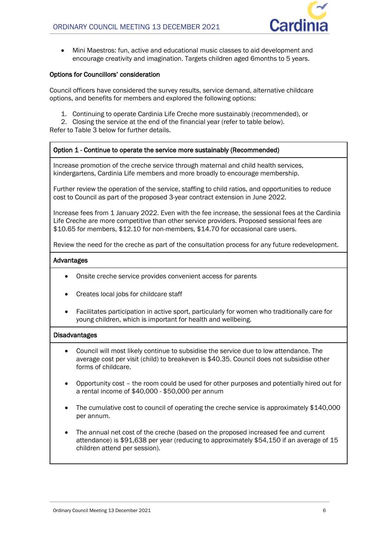

 Mini Maestros: fun, active and educational music classes to aid development and encourage creativity and imagination. Targets children aged 6months to 5 years.

# **Options for Councillors' consideration**

Council officers have considered the survey results, service demand, alternative childcare options, and benefits for members and explored the following options:

- 1. Continuing to operate Cardinia Life Creche more sustainably (recommended), or
- 2. Closing the service at the end of the financial year (refer to table below).

Refer to Table 3 below for further details.

#### **Option 1 - Continue to operate the service more sustainably (Recommended)**

Increase promotion of the creche service through maternal and child health services, kindergartens, Cardinia Life members and more broadly to encourage membership.

Further review the operation of the service, staffing to child ratios, and opportunities to reduce cost to Council as part of the proposed 3-year contract extension in June 2022.

Increase fees from 1 January 2022. Even with the fee increase, the sessional fees at the Cardinia Life Creche are more competitive than other service providers. Proposed sessional fees are \$10.65 for members, \$12.10 for non-members, \$14.70 for occasional care users.

Review the need for the creche as part of the consultation process for any future redevelopment.

#### **Advantages**

- Onsite creche service provides convenient access for parents
- Creates local jobs for childcare staff
- Facilitates participation in active sport, particularly for women who traditionally care for young children, which is important for health and wellbeing.

#### **Disadvantages**

- Council will most likely continue to subsidise the service due to low attendance. The average cost per visit (child) to breakeven is \$40.35. Council does not subsidise other forms of childcare.
- Opportunity cost the room could be used for other purposes and potentially hired out for a rental income of \$40,000 - \$50,000 per annum
- The cumulative cost to council of operating the creche service is approximately \$140,000 per annum.
- The annual net cost of the creche (based on the proposed increased fee and current attendance) is \$91,638 per year (reducing to approximately \$54,150 if an average of 15 children attend per session).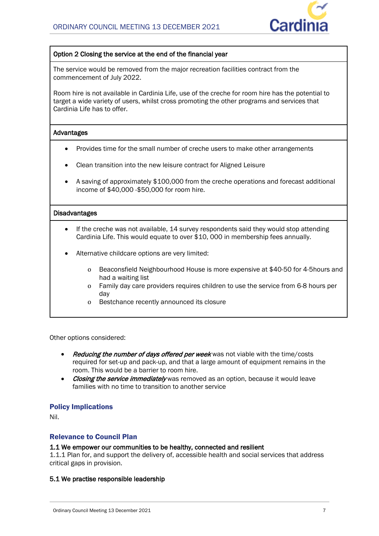

# **Option 2 Closing the service at the end of the financial year**

The service would be removed from the major recreation facilities contract from the commencement of July 2022.

Room hire is not available in Cardinia Life, use of the creche for room hire has the potential to target a wide variety of users, whilst cross promoting the other programs and services that Cardinia Life has to offer.

# **Advantages**

- Provides time for the small number of creche users to make other arrangements
- Clean transition into the new leisure contract for Aligned Leisure
- A saving of approximately \$100,000 from the creche operations and forecast additional income of \$40,000 -\$50,000 for room hire.

#### **Disadvantages**

- If the creche was not available, 14 survey respondents said they would stop attending Cardinia Life. This would equate to over \$10, 000 in membership fees annually.
- Alternative childcare options are very limited:
	- o Beaconsfield Neighbourhood House is more expensive at \$40-50 for 4-5hours and had a waiting list
	- o Family day care providers requires children to use the service from 6-8 hours per day
	- o Bestchance recently announced its closure

Other options considered:

- *Reducing the number of days offered per week* was not viable with the time/costs required for set-up and pack-up, and that a large amount of equipment remains in the room. This would be a barrier to room hire.
- *Closing the service immediately* was removed as an option, because it would leave families with no time to transition to another service

# Policy Implications

Nil.

# Relevance to Council Plan

#### **1.1 We empower our communities to be healthy, connected and resilient**

1.1.1 Plan for, and support the delivery of, accessible health and social services that address critical gaps in provision.

#### **5.1 We practise responsible leadership**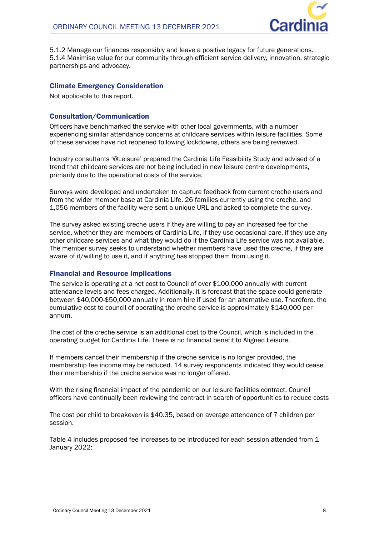

5.1.2 Manage our finances responsibly and leave a positive legacy for future generations. 5.1.4 Maximise value for our community through efficient service delivery, innovation, strategic partnerships and advocacy.

# Climate Emergency Consideration

Not applicable to this report.

# Consultation/Communication

Officers have benchmarked the service with other local governments, with a number experiencing similar attendance concerns at childcare services within leisure facilities. Some of these services have not reopened following lockdowns, others are being reviewed.

Industry consultants '@Leisure' prepared the Cardinia Life Feasibility Study and advised of a trend that childcare services are not being included in new leisure centre developments, primarily due to the operational costs of the service.

Surveys were developed and undertaken to capture feedback from current creche users and from the wider member base at Cardinia Life. 26 families currently using the creche, and 1,056 members of the facility were sent a unique URL and asked to complete the survey.

The survey asked existing creche users if they are willing to pay an increased fee for the service, whether they are members of Cardinia Life, if they use occasional care, if they use any other childcare services and what they would do if the Cardinia Life service was not available. The member survey seeks to understand whether members have used the creche, if they are aware of it/willing to use it, and if anything has stopped them from using it.

# Financial and Resource Implications

The service is operating at a net cost to Council of over \$100,000 annually with current attendance levels and fees charged. Additionally, it is forecast that the space could generate between \$40,000-\$50,000 annually in room hire if used for an alternative use. Therefore, the cumulative cost to council of operating the creche service is approximately \$140,000 per annum.

The cost of the creche service is an additional cost to the Council, which is included in the operating budget for Cardinia Life. There is no financial benefit to Aligned Leisure.

If members cancel their membership if the creche service is no longer provided, the membership fee income may be reduced. 14 survey respondents indicated they would cease their membership if the creche service was no longer offered.

With the rising financial impact of the pandemic on our leisure facilities contract, Council officers have continually been reviewing the contract in search of opportunities to reduce costs

The cost per child to breakeven is \$40.35, based on average attendance of 7 children per session.

Table 4 includes proposed fee increases to be introduced for each session attended from 1 January 2022: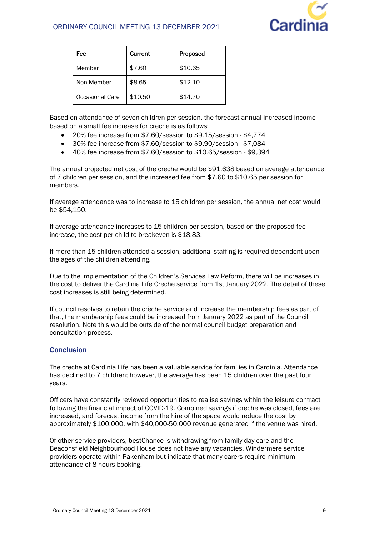

| Fee             | Current | Proposed |
|-----------------|---------|----------|
| Member          | \$7.60  | \$10.65  |
| Non-Member      | \$8.65  | \$12.10  |
| Occasional Care | \$10.50 | \$14.70  |

Based on attendance of seven children per session, the forecast annual increased income based on a small fee increase for creche is as follows:

- 20% fee increase from \$7.60/session to \$9.15/session \$4,774
- 30% fee increase from \$7.60/session to \$9.90/session \$7,084
- 40% fee increase from \$7.60/session to \$10.65/session \$9,394

The annual projected net cost of the creche would be \$91,638 based on average attendance of 7 children per session, and the increased fee from \$7.60 to \$10.65 per session for members.

If average attendance was to increase to 15 children per session, the annual net cost would be \$54,150.

If average attendance increases to 15 children per session, based on the proposed fee increase, the cost per child to breakeven is \$18.83.

If more than 15 children attended a session, additional staffing is required dependent upon the ages of the children attending.

Due to the implementation of the Children's Services Law Reform, there will be increases in the cost to deliver the Cardinia Life Creche service from 1st January 2022. The detail of these cost increases is still being determined.

If council resolves to retain the crèche service and increase the membership fees as part of that, the membership fees could be increased from January 2022 as part of the Council resolution. Note this would be outside of the normal council budget preparation and consultation process.

#### **Conclusion**

The creche at Cardinia Life has been a valuable service for families in Cardinia. Attendance has declined to 7 children; however, the average has been 15 children over the past four years.

Officers have constantly reviewed opportunities to realise savings within the leisure contract following the financial impact of COVID-19. Combined savings if creche was closed, fees are increased, and forecast income from the hire of the space would reduce the cost by approximately \$100,000, with \$40,000-50,000 revenue generated if the venue was hired.

Of other service providers, bestChance is withdrawing from family day care and the Beaconsfield Neighbourhood House does not have any vacancies. Windermere service providers operate within Pakenham but indicate that many carers require minimum attendance of 8 hours booking.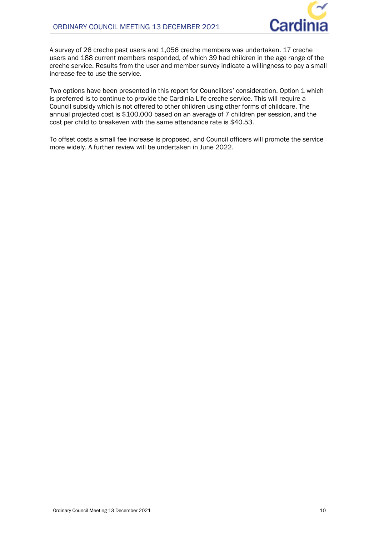

A survey of 26 creche past users and 1,056 creche members was undertaken. 17 creche users and 188 current members responded, of which 39 had children in the age range of the creche service. Results from the user and member survey indicate a willingness to pay a small increase fee to use the service.

Two options have been presented in this report for Councillors' consideration. Option 1 which is preferred is to continue to provide the Cardinia Life creche service. This will require a Council subsidy which is not offered to other children using other forms of childcare. The annual projected cost is \$100,000 based on an average of 7 children per session, and the cost per child to breakeven with the same attendance rate is \$40.53.

To offset costs a small fee increase is proposed, and Council officers will promote the service more widely. A further review will be undertaken in June 2022.